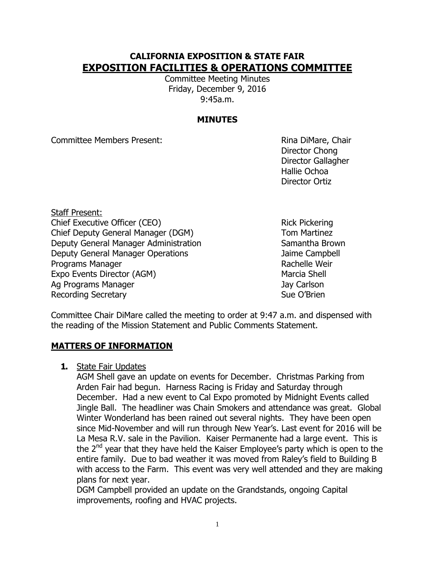# **CALIFORNIA EXPOSITION & STATE FAIR EXPOSITION FACILITIES & OPERATIONS COMMITTEE**

Committee Meeting Minutes Friday, December 9, 2016 9:45a.m.

## **MINUTES**

Committee Members Present: Rina DiMare, Chair

Director Chong Director Gallagher Hallie Ochoa Director Ortiz

Staff Present: Chief Executive Officer (CEO) Rick Pickering Chief Deputy General Manager (DGM) Tom Martinez Deputy General Manager Administration Samantha Brown Deputy General Manager Operations **Fig. 2018** Jaime Campbell Programs Manager **Rachelle Weir** Rachelle Weir Expo Events Director (AGM) Marcia Shell Ag Programs Manager Jay Carlson Recording Secretary **Sue O'Brien** Sue O'Brien

Committee Chair DiMare called the meeting to order at 9:47 a.m. and dispensed with the reading of the Mission Statement and Public Comments Statement.

### **MATTERS OF INFORMATION**

**1.** State Fair Updates

AGM Shell gave an update on events for December. Christmas Parking from Arden Fair had begun. Harness Racing is Friday and Saturday through December. Had a new event to Cal Expo promoted by Midnight Events called Jingle Ball. The headliner was Chain Smokers and attendance was great. Global Winter Wonderland has been rained out several nights. They have been open since Mid-November and will run through New Year's. Last event for 2016 will be La Mesa R.V. sale in the Pavilion. Kaiser Permanente had a large event. This is the  $2^{nd}$  year that they have held the Kaiser Employee's party which is open to the entire family. Due to bad weather it was moved from Raley's field to Building B with access to the Farm. This event was very well attended and they are making plans for next year.

DGM Campbell provided an update on the Grandstands, ongoing Capital improvements, roofing and HVAC projects.